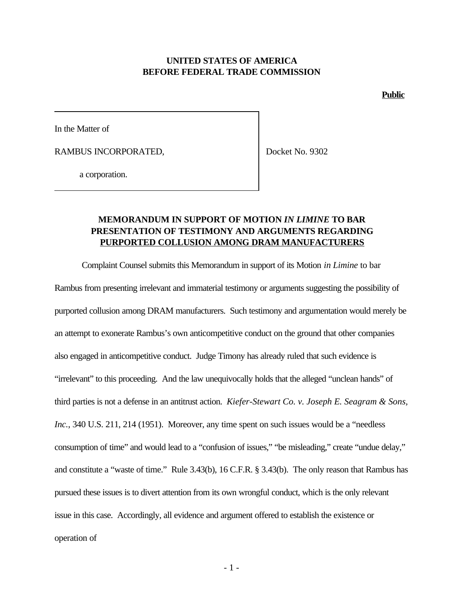### **UNITED STATES OF AMERICA BEFORE FEDERAL TRADE COMMISSION**

**Public**

In the Matter of

RAMBUS INCORPORATED,

Docket No. 9302

a corporation.

# **MEMORANDUM IN SUPPORT OF MOTION** *IN LIMINE* **TO BAR PRESENTATION OF TESTIMONY AND ARGUMENTS REGARDING PURPORTED COLLUSION AMONG DRAM MANUFACTURERS**

Complaint Counsel submits this Memorandum in support of its Motion *in Limine* to bar

Rambus from presenting irrelevant and immaterial testimony or arguments suggesting the possibility of purported collusion among DRAM manufacturers. Such testimony and argumentation would merely be an attempt to exonerate Rambus's own anticompetitive conduct on the ground that other companies also engaged in anticompetitive conduct. Judge Timony has already ruled that such evidence is "irrelevant" to this proceeding. And the law unequivocally holds that the alleged "unclean hands" of third parties is not a defense in an antitrust action. *Kiefer-Stewart Co. v. Joseph E. Seagram & Sons, Inc.*, 340 U.S. 211, 214 (1951). Moreover, any time spent on such issues would be a "needless consumption of time" and would lead to a "confusion of issues," "be misleading," create "undue delay," and constitute a "waste of time." Rule 3.43(b), 16 C.F.R. § 3.43(b). The only reason that Rambus has pursued these issues is to divert attention from its own wrongful conduct, which is the only relevant issue in this case. Accordingly, all evidence and argument offered to establish the existence or operation of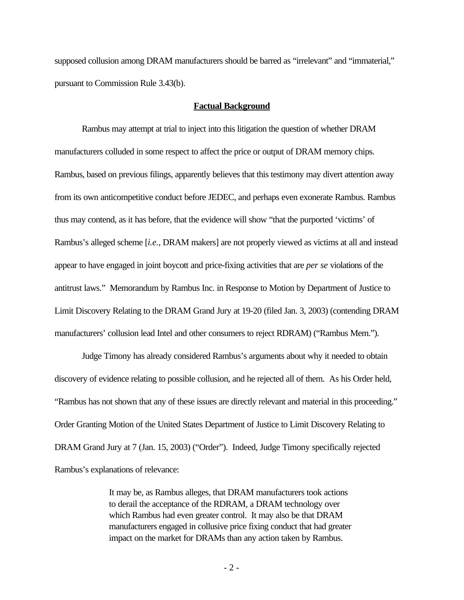supposed collusion among DRAM manufacturers should be barred as "irrelevant" and "immaterial," pursuant to Commission Rule 3.43(b).

#### **Factual Background**

Rambus may attempt at trial to inject into this litigation the question of whether DRAM manufacturers colluded in some respect to affect the price or output of DRAM memory chips. Rambus, based on previous filings, apparently believes that this testimony may divert attention away from its own anticompetitive conduct before JEDEC, and perhaps even exonerate Rambus. Rambus thus may contend, as it has before, that the evidence will show "that the purported 'victims' of Rambus's alleged scheme [*i.e.*, DRAM makers] are not properly viewed as victims at all and instead appear to have engaged in joint boycott and price-fixing activities that are *per se* violations of the antitrust laws." Memorandum by Rambus Inc. in Response to Motion by Department of Justice to Limit Discovery Relating to the DRAM Grand Jury at 19-20 (filed Jan. 3, 2003) (contending DRAM manufacturers' collusion lead Intel and other consumers to reject RDRAM) ("Rambus Mem.").

Judge Timony has already considered Rambus's arguments about why it needed to obtain discovery of evidence relating to possible collusion, and he rejected all of them. As his Order held, "Rambus has not shown that any of these issues are directly relevant and material in this proceeding." Order Granting Motion of the United States Department of Justice to Limit Discovery Relating to DRAM Grand Jury at 7 (Jan. 15, 2003) ("Order"). Indeed, Judge Timony specifically rejected Rambus's explanations of relevance:

> It may be, as Rambus alleges, that DRAM manufacturers took actions to derail the acceptance of the RDRAM, a DRAM technology over which Rambus had even greater control. It may also be that DRAM manufacturers engaged in collusive price fixing conduct that had greater impact on the market for DRAMs than any action taken by Rambus.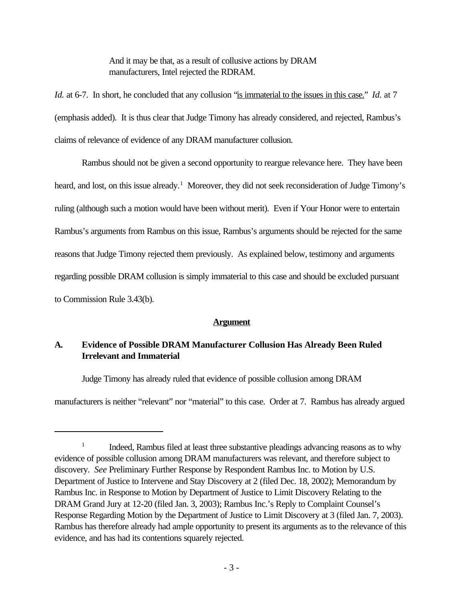And it may be that, as a result of collusive actions by DRAM manufacturers, Intel rejected the RDRAM.

*Id.* at 6-7. In short, he concluded that any collusion "is immaterial to the issues in this case." *Id.* at 7 (emphasis added). It is thus clear that Judge Timony has already considered, and rejected, Rambus's claims of relevance of evidence of any DRAM manufacturer collusion.

Rambus should not be given a second opportunity to reargue relevance here. They have been heard, and lost, on this issue already.<sup>1</sup> Moreover, they did not seek reconsideration of Judge Timony's ruling (although such a motion would have been without merit). Even if Your Honor were to entertain Rambus's arguments from Rambus on this issue, Rambus's arguments should be rejected for the same reasons that Judge Timony rejected them previously. As explained below, testimony and arguments regarding possible DRAM collusion is simply immaterial to this case and should be excluded pursuant to Commission Rule 3.43(b).

#### **Argument**

# **A. Evidence of Possible DRAM Manufacturer Collusion Has Already Been Ruled Irrelevant and Immaterial**

Judge Timony has already ruled that evidence of possible collusion among DRAM

manufacturers is neither "relevant" nor "material" to this case. Order at 7. Rambus has already argued

<sup>1</sup> Indeed, Rambus filed at least three substantive pleadings advancing reasons as to why evidence of possible collusion among DRAM manufacturers was relevant, and therefore subject to discovery. *See* Preliminary Further Response by Respondent Rambus Inc. to Motion by U.S. Department of Justice to Intervene and Stay Discovery at 2 (filed Dec. 18, 2002); Memorandum by Rambus Inc. in Response to Motion by Department of Justice to Limit Discovery Relating to the DRAM Grand Jury at 12-20 (filed Jan. 3, 2003); Rambus Inc.'s Reply to Complaint Counsel's Response Regarding Motion by the Department of Justice to Limit Discovery at 3 (filed Jan. 7, 2003). Rambus has therefore already had ample opportunity to present its arguments as to the relevance of this evidence, and has had its contentions squarely rejected.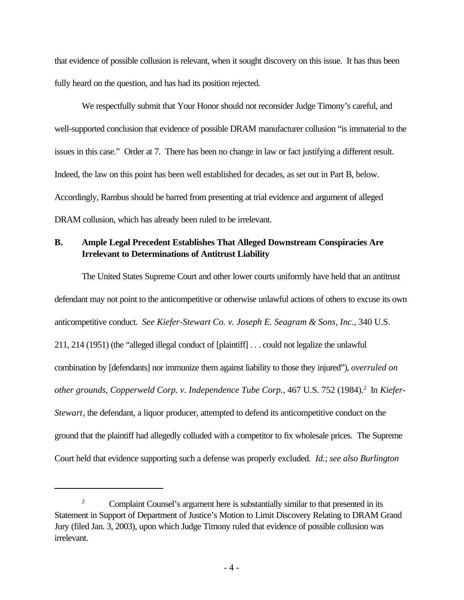that evidence of possible collusion is relevant, when it sought discovery on this issue. It has thus been fully heard on the question, and has had its position rejected.

We respectfully submit that Your Honor should not reconsider Judge Timony's careful, and well-supported conclusion that evidence of possible DRAM manufacturer collusion "is immaterial to the issues in this case." Order at 7. There has been no change in law or fact justifying a different result. Indeed, the law on this point has been well established for decades, as set out in Part B, below. Accordingly, Rambus should be barred from presenting at trial evidence and argument of alleged DRAM collusion, which has already been ruled to be irrelevant.

## **B. Ample Legal Precedent Establishes That Alleged Downstream Conspiracies Are Irrelevant to Determinations of Antitrust Liability**

The United States Supreme Court and other lower courts uniformly have held that an antitrust defendant may not point to the anticompetitive or otherwise unlawful actions of others to excuse its own anticompetitive conduct. *See Kiefer-Stewart Co. v. Joseph E. Seagram & Sons, Inc.*, 340 U.S. 211, 214 (1951) (the "alleged illegal conduct of [plaintiff] . . . could not legalize the unlawful combination by [defendants] nor immunize them against liability to those they injured"), *overruled on* other grounds, Copperweld Corp. v. Independence Tube Corp., 467 U.S. 752 (1984).<sup>2</sup> In *Kiefer-Stewart*, the defendant, a liquor producer, attempted to defend its anticompetitive conduct on the ground that the plaintiff had allegedly colluded with a competitor to fix wholesale prices. The Supreme Court held that evidence supporting such a defense was properly excluded. *Id.*; *see also Burlington*

<sup>&</sup>lt;sup>2</sup> Complaint Counsel's argument here is substantially similar to that presented in its Statement in Support of Department of Justice's Motion to Limit Discovery Relating to DRAM Grand Jury (filed Jan. 3, 2003), upon which Judge Timony ruled that evidence of possible collusion was irrelevant.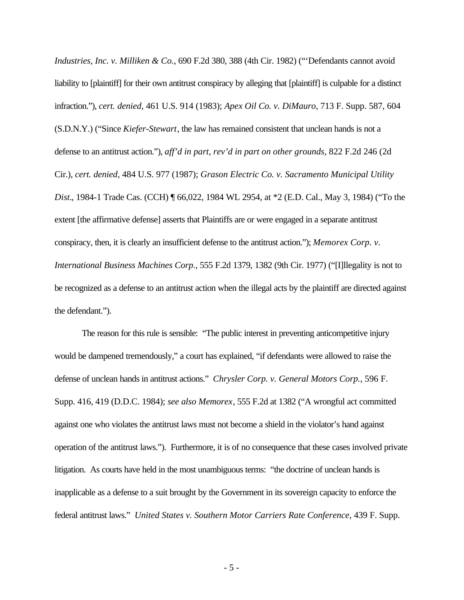*Industries, Inc. v. Milliken & Co.*, 690 F.2d 380, 388 (4th Cir. 1982) ("'Defendants cannot avoid liability to [plaintiff] for their own antitrust conspiracy by alleging that [plaintiff] is culpable for a distinct infraction."), *cert. denied*, 461 U.S. 914 (1983); *Apex Oil Co. v. DiMauro*, 713 F. Supp. 587, 604 (S.D.N.Y.) ("Since *Kiefer-Stewart*, the law has remained consistent that unclean hands is not a defense to an antitrust action."), *aff'd in part, rev'd in part on other grounds*, 822 F.2d 246 (2d Cir.), *cert. denied*, 484 U.S. 977 (1987); *Grason Electric Co. v. Sacramento Municipal Utility Dist.*, 1984-1 Trade Cas. (CCH) ¶ 66,022, 1984 WL 2954, at \*2 (E.D. Cal., May 3, 1984) ("To the extent [the affirmative defense] asserts that Plaintiffs are or were engaged in a separate antitrust conspiracy, then, it is clearly an insufficient defense to the antitrust action."); *Memorex Corp. v. International Business Machines Corp.*, 555 F.2d 1379, 1382 (9th Cir. 1977) ("[I]llegality is not to be recognized as a defense to an antitrust action when the illegal acts by the plaintiff are directed against the defendant.").

The reason for this rule is sensible: "The public interest in preventing anticompetitive injury would be dampened tremendously," a court has explained, "if defendants were allowed to raise the defense of unclean hands in antitrust actions." *Chrysler Corp. v. General Motors Corp.*, 596 F. Supp. 416, 419 (D.D.C. 1984); *see also Memorex*, 555 F.2d at 1382 ("A wrongful act committed against one who violates the antitrust laws must not become a shield in the violator's hand against operation of the antitrust laws."). Furthermore, it is of no consequence that these cases involved private litigation. As courts have held in the most unambiguous terms: "the doctrine of unclean hands is inapplicable as a defense to a suit brought by the Government in its sovereign capacity to enforce the federal antitrust laws." *United States v. Southern Motor Carriers Rate Conference*, 439 F. Supp.

- 5 -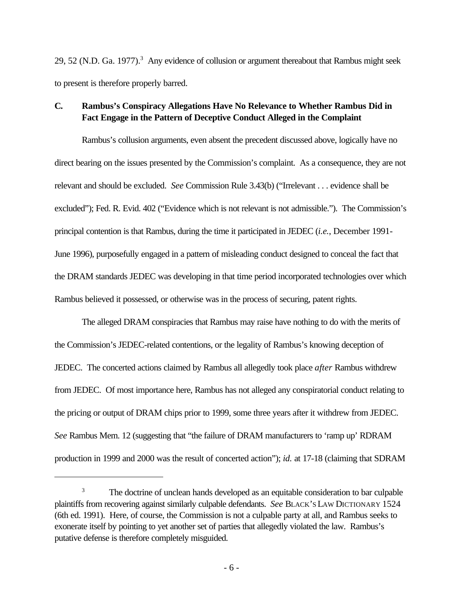29, 52 (N.D. Ga. 1977).<sup>3</sup> Any evidence of collusion or argument thereabout that Rambus might seek to present is therefore properly barred.

### **C. Rambus's Conspiracy Allegations Have No Relevance to Whether Rambus Did in Fact Engage in the Pattern of Deceptive Conduct Alleged in the Complaint**

Rambus's collusion arguments, even absent the precedent discussed above, logically have no direct bearing on the issues presented by the Commission's complaint. As a consequence, they are not relevant and should be excluded. *See* Commission Rule 3.43(b) ("Irrelevant . . . evidence shall be excluded"); Fed. R. Evid. 402 ("Evidence which is not relevant is not admissible."). The Commission's principal contention is that Rambus, during the time it participated in JEDEC (*i.e.*, December 1991- June 1996), purposefully engaged in a pattern of misleading conduct designed to conceal the fact that the DRAM standards JEDEC was developing in that time period incorporated technologies over which Rambus believed it possessed, or otherwise was in the process of securing, patent rights.

The alleged DRAM conspiracies that Rambus may raise have nothing to do with the merits of the Commission's JEDEC-related contentions, or the legality of Rambus's knowing deception of JEDEC. The concerted actions claimed by Rambus all allegedly took place *after* Rambus withdrew from JEDEC. Of most importance here, Rambus has not alleged any conspiratorial conduct relating to the pricing or output of DRAM chips prior to 1999, some three years after it withdrew from JEDEC. *See* Rambus Mem. 12 (suggesting that "the failure of DRAM manufacturers to 'ramp up' RDRAM production in 1999 and 2000 was the result of concerted action"); *id.* at 17-18 (claiming that SDRAM

<sup>&</sup>lt;sup>3</sup> The doctrine of unclean hands developed as an equitable consideration to bar culpable plaintiffs from recovering against similarly culpable defendants. *See* BLACK'S LAW DICTIONARY 1524 (6th ed. 1991). Here, of course, the Commission is not a culpable party at all, and Rambus seeks to exonerate itself by pointing to yet another set of parties that allegedly violated the law. Rambus's putative defense is therefore completely misguided.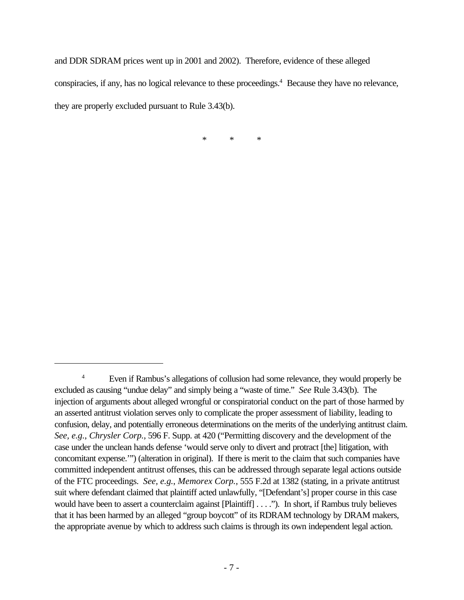and DDR SDRAM prices went up in 2001 and 2002). Therefore, evidence of these alleged conspiracies, if any, has no logical relevance to these proceedings.<sup>4</sup> Because they have no relevance, they are properly excluded pursuant to Rule 3.43(b).

\* \* \*

<sup>&</sup>lt;sup>4</sup> Even if Rambus's allegations of collusion had some relevance, they would properly be excluded as causing "undue delay" and simply being a "waste of time." *See* Rule 3.43(b). The injection of arguments about alleged wrongful or conspiratorial conduct on the part of those harmed by an asserted antitrust violation serves only to complicate the proper assessment of liability, leading to confusion, delay, and potentially erroneous determinations on the merits of the underlying antitrust claim. *See, e.g.*, *Chrysler Corp.*, 596 F. Supp. at 420 ("Permitting discovery and the development of the case under the unclean hands defense 'would serve only to divert and protract [the] litigation, with concomitant expense.'") (alteration in original). If there is merit to the claim that such companies have committed independent antitrust offenses, this can be addressed through separate legal actions outside of the FTC proceedings. *See, e.g.*, *Memorex Corp.*, 555 F.2d at 1382 (stating, in a private antitrust suit where defendant claimed that plaintiff acted unlawfully, "[Defendant's] proper course in this case would have been to assert a counterclaim against [Plaintiff] . . . ."). In short, if Rambus truly believes that it has been harmed by an alleged "group boycott" of its RDRAM technology by DRAM makers, the appropriate avenue by which to address such claims is through its own independent legal action.